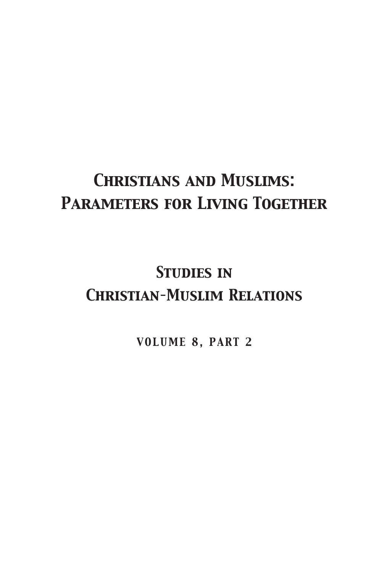## *Christians and Muslims: Parameters for Living Together*

## *Studies in Christian–Muslim Relations*

*VOLUME 8, PART 2*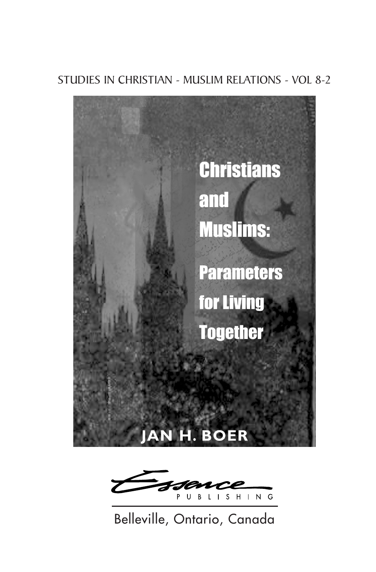### STUDIES IN CHRISTIAN - MUSLIM RELATIONS - VOL 8-2





Belleville, Ontario, Canada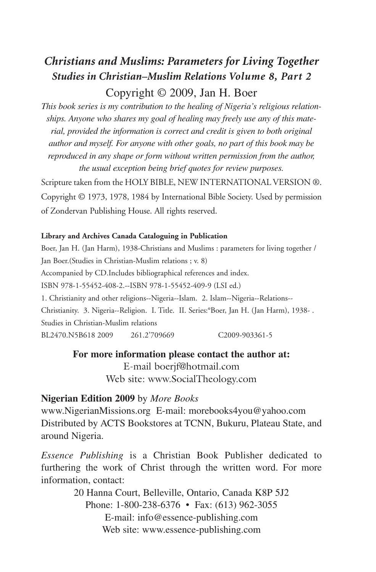### *Christians and Muslims: Parameters for Living Together Studies in Christian–Muslim Relations Volume 8, Part 2*

### Copyright © 2009, Jan H. Boer

*This book series is my contribution to the healing of Nigeria's religious relationships. Anyone who shares my goal of healing may freely use any of this material, provided the information is correct and credit is given to both original author and myself. For anyone with other goals, no part of this book may be reproduced in any shape or form without written permission from the author, the usual exception being brief quotes for review purposes.*

Scripture taken from the HOLY BIBLE, NEW INTERNATIONAL VERSION ®. Copyright © 1973, 1978, 1984 by International Bible Society. Used by permission of Zondervan Publishing House. All rights reserved.

#### **Library and Archives Canada Cataloguing in Publication**

Boer, Jan H. (Jan Harm), 1938-Christians and Muslims : parameters for living together / Jan Boer.(Studies in Christian-Muslim relations ; v. 8) Accompanied by CD.Includes bibliographical references and index. ISBN 978-1-55452-408-2.--ISBN 978-1-55452-409-9 (LSI ed.) 1. Christianity and other religions--Nigeria--Islam. 2. Islam--Nigeria--Relations-- Christianity. 3. Nigeria--Religion. I. Title. II. Series:°Boer, Jan H. (Jan Harm), 1938- . Studies in Christian-Muslim relations BL2470.N5B618 2009 261.2'709669 C2009-903361-5

#### **For more information please contact the author at:** E-mail boerjf@hotmail.com Web site: www.SocialTheology.com

#### **Nigerian Edition 2009** by *More Books*

www.NigerianMissions.org E-mail: morebooks4you@yahoo.com Distributed by ACTS Bookstores at TCNN, Bukuru, Plateau State, and around Nigeria.

*Essence Publishing* is a Christian Book Publisher dedicated to furthering the work of Christ through the written word. For more information, contact:

> 20 Hanna Court, Belleville, Ontario, Canada K8P 5J2 Phone: 1-800-238-6376 • Fax: (613) 962-3055 E-mail: info@essence-publishing.com Web site: www.essence-publishing.com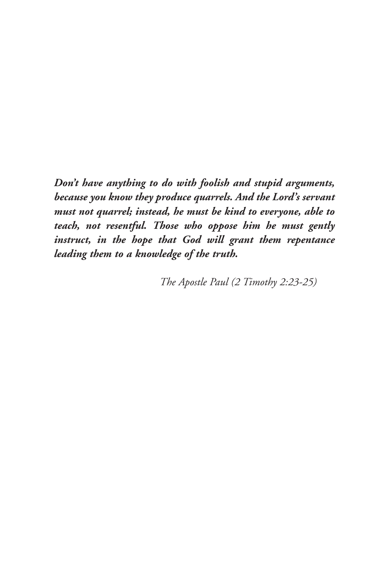*Don't have anything to do with foolish and stupid arguments, because you know they produce quarrels. And the Lord's servant must not quarrel; instead, he must be kind to everyone, able to teach, not resentful. Those who oppose him he must gently instruct, in the hope that God will grant them repentance leading them to a knowledge of the truth.*

*The Apostle Paul (2 Timothy 2:23-25)*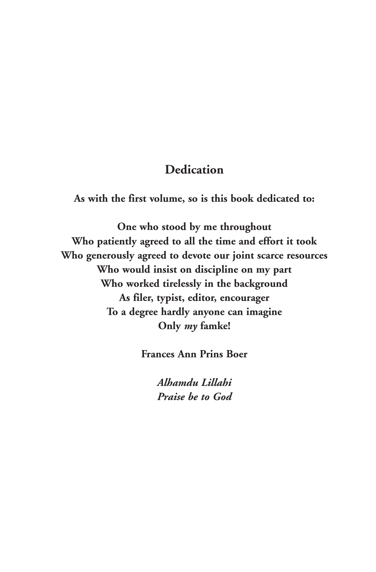### **Dedication**

**As with the first volume, so is this book dedicated to:**

**One who stood by me throughout Who patiently agreed to all the time and effort it took Who generously agreed to devote our joint scarce resources Who would insist on discipline on my part Who worked tirelessly in the background As filer, typist, editor, encourager To a degree hardly anyone can imagine Only** *my* **famke!**

**Frances Ann Prins Boer**

*Alhamdu Lillahi Praise be to God*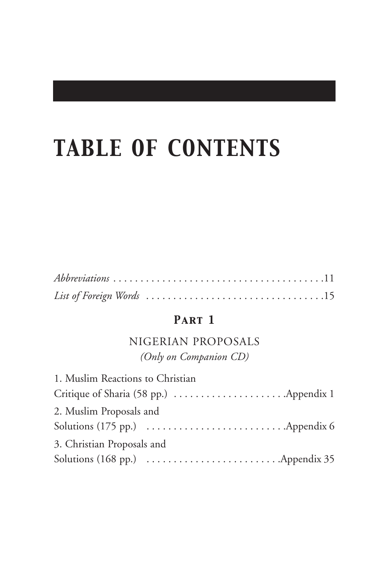# *TABLE OF CONTENTS*

| $Abbreviations \ldots \ldots \ldots \ldots \ldots \ldots \ldots \ldots \ldots \ldots \ldots \ldots 11$ |  |  |  |  |  |  |  |  |  |  |  |  |  |
|--------------------------------------------------------------------------------------------------------|--|--|--|--|--|--|--|--|--|--|--|--|--|
|                                                                                                        |  |  |  |  |  |  |  |  |  |  |  |  |  |

### *Part 1*

### NIGERIAN PROPOSALS *(Only on Companion CD)*

| 1. Muslim Reactions to Christian |                                                                              |
|----------------------------------|------------------------------------------------------------------------------|
|                                  |                                                                              |
| 2. Muslim Proposals and          |                                                                              |
|                                  | Solutions (175 pp.) $\dots \dots \dots \dots \dots \dots \dots$ . Appendix 6 |
| 3. Christian Proposals and       |                                                                              |
|                                  |                                                                              |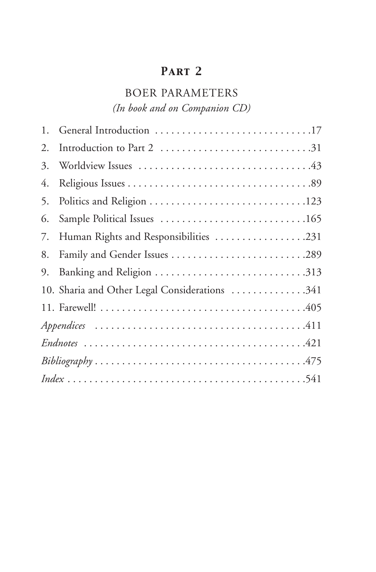### *Part 2*

### BOER PARAMETERS

*(In book and on Companion CD)*

| 1. | General Introduction 17                       |
|----|-----------------------------------------------|
| 2. |                                               |
| 3. |                                               |
| 4. |                                               |
| 5. |                                               |
| 6. |                                               |
| 7. | Human Rights and Responsibilities 231         |
| 8. |                                               |
| 9. |                                               |
|    | 10. Sharia and Other Legal Considerations 341 |
|    |                                               |
|    |                                               |
|    |                                               |
|    |                                               |
|    |                                               |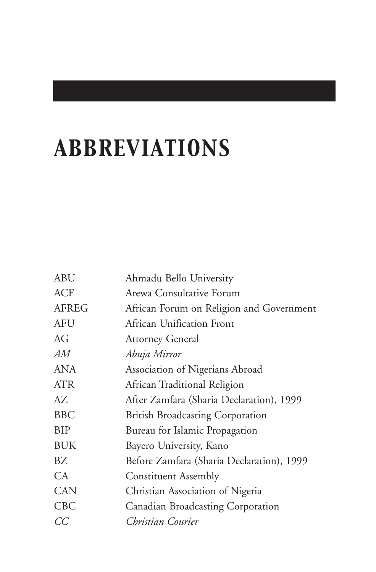# *ABBREVIATIONS*

| Ahmadu Bello University                   |
|-------------------------------------------|
| Arewa Consultative Forum                  |
| African Forum on Religion and Government  |
| African Unification Front                 |
| <b>Attorney General</b>                   |
| Abuja Mirror                              |
| Association of Nigerians Abroad           |
| African Traditional Religion              |
| After Zamfara (Sharia Declaration), 1999  |
| <b>British Broadcasting Corporation</b>   |
| Bureau for Islamic Propagation            |
| Bayero University, Kano                   |
| Before Zamfara (Sharia Declaration), 1999 |
| <b>Constituent Assembly</b>               |
| Christian Association of Nigeria          |
| Canadian Broadcasting Corporation         |
| Christian Courier                         |
|                                           |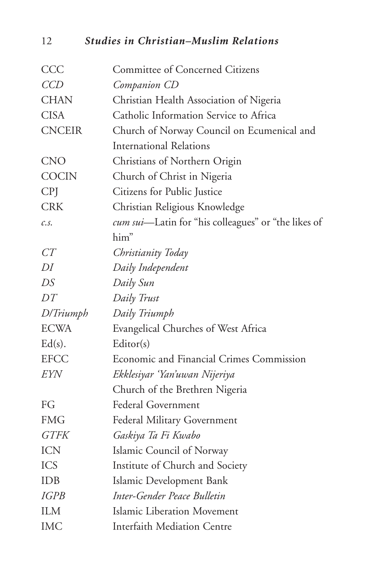12 *Studies in Christian–Muslim Relations*

| CCC           | <b>Committee of Concerned Citizens</b>              |
|---------------|-----------------------------------------------------|
| CCD           | Companion CD                                        |
| <b>CHAN</b>   | Christian Health Association of Nigeria             |
| <b>CISA</b>   | Catholic Information Service to Africa              |
| <b>CNCEIR</b> | Church of Norway Council on Ecumenical and          |
|               | <b>International Relations</b>                      |
| <b>CNO</b>    | Christians of Northern Origin                       |
| <b>COCIN</b>  | Church of Christ in Nigeria                         |
| CPJ           | Citizens for Public Justice                         |
| <b>CRK</b>    | Christian Religious Knowledge                       |
| c.s.          | cum sui-Latin for "his colleagues" or "the likes of |
|               | him"                                                |
| CT            | Christianity Today                                  |
| DI            | Daily Independent                                   |
| DS            | Daily Sun                                           |
| DT            | Daily Trust                                         |
| D/Triumph     | Daily Triumph                                       |
| <b>ECWA</b>   | Evangelical Churches of West Africa                 |
| $Ed(s)$ .     | Editor(s)                                           |
| <b>EFCC</b>   | Economic and Financial Crimes Commission            |
| EYN           | Ekklesiyar 'Yan'uwan Nijeriya                       |
|               | Church of the Brethren Nigeria                      |
| FG            | <b>Federal Government</b>                           |
| <b>FMG</b>    | Federal Military Government                         |
| <b>GTFK</b>   | Gaskiya Ta Fi Kwabo                                 |
| <b>ICN</b>    | Islamic Council of Norway                           |
| <b>ICS</b>    | Institute of Church and Society                     |
| <b>IDB</b>    | Islamic Development Bank                            |
| <i>IGPB</i>   | Inter-Gender Peace Bulletin                         |
| <b>ILM</b>    | Islamic Liberation Movement                         |
| <b>IMC</b>    | <b>Interfaith Mediation Centre</b>                  |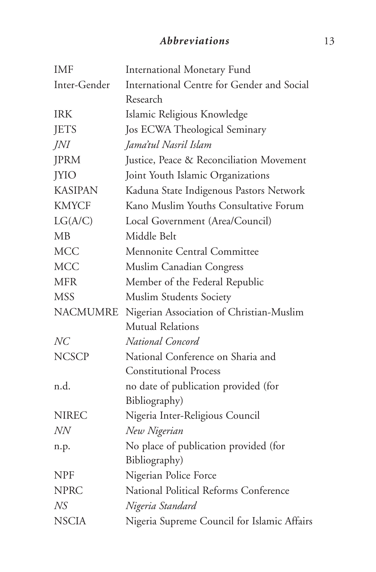### *Abbreviations* 13

| <b>IMF</b>      | International Monetary Fund                 |
|-----------------|---------------------------------------------|
| Inter-Gender    | International Centre for Gender and Social  |
|                 | Research                                    |
| <b>IRK</b>      | Islamic Religious Knowledge                 |
| <b>JETS</b>     | Jos ECWA Theological Seminary               |
| JNI             | Jama'tul Nasril Islam                       |
| <b>JPRM</b>     | Justice, Peace & Reconciliation Movement    |
| <b>JYIO</b>     | Joint Youth Islamic Organizations           |
| <b>KASIPAN</b>  | Kaduna State Indigenous Pastors Network     |
| <b>KMYCF</b>    | Kano Muslim Youths Consultative Forum       |
| LG(A/C)         | Local Government (Area/Council)             |
| МB              | Middle Belt                                 |
| <b>MCC</b>      | Mennonite Central Committee                 |
| <b>MCC</b>      | Muslim Canadian Congress                    |
| <b>MFR</b>      | Member of the Federal Republic              |
| <b>MSS</b>      | Muslim Students Society                     |
| <b>NACMUMRE</b> | Nigerian Association of Christian-Muslim    |
|                 | <b>Mutual Relations</b>                     |
| NC              | National Concord                            |
| <b>NCSCP</b>    | National Conference on Sharia and           |
|                 | <b>Constitutional Process</b>               |
| n.d.            | no date of publication provided (for        |
|                 | Bibliography)                               |
| <b>NIREC</b>    | Nigeria Inter-Religious Council             |
| NN              | New Nigerian                                |
| n.p.            | No place of publication provided (for       |
|                 | Bibliography)                               |
| <b>NPF</b>      | Nigerian Police Force                       |
| <b>NPRC</b>     | National Political Reforms Conference       |
| NS              | Nigeria Standard                            |
| <b>NSCIA</b>    | Nigeria Supreme Council for Islamic Affairs |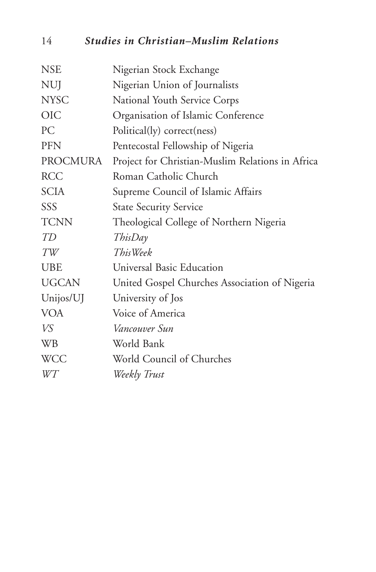### 14 *Studies in Christian–Muslim Relations*

| <b>NSE</b>   | Nigerian Stock Exchange                          |
|--------------|--------------------------------------------------|
| <b>NUJ</b>   | Nigerian Union of Journalists                    |
| <b>NYSC</b>  | National Youth Service Corps                     |
| <b>OIC</b>   | Organisation of Islamic Conference               |
| PC           | Political(ly) correct(ness)                      |
| <b>PFN</b>   | Pentecostal Fellowship of Nigeria                |
| PROCMURA     | Project for Christian-Muslim Relations in Africa |
| <b>RCC</b>   | Roman Catholic Church                            |
| <b>SCIA</b>  | Supreme Council of Islamic Affairs               |
| SSS          | <b>State Security Service</b>                    |
| <b>TCNN</b>  | Theological College of Northern Nigeria          |
| TD           | ThisDay                                          |
| $\cal{TW}$   | This Week                                        |
| <b>UBE</b>   | Universal Basic Education                        |
| <b>UGCAN</b> | United Gospel Churches Association of Nigeria    |
| Unijos/UJ    | University of Jos                                |
| <b>VOA</b>   | Voice of America                                 |
| VS           | Vancouver Sun                                    |
| <b>WB</b>    | World Bank                                       |
| <b>WCC</b>   | World Council of Churches                        |
| WT           | Weekly Trust                                     |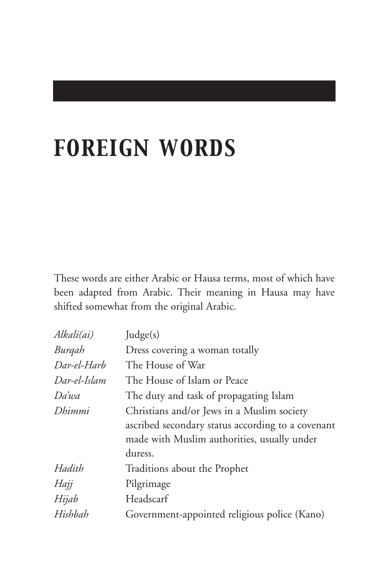# *FOREIGN WORDS*

These words are either Arabic or Hausa terms, most of which have been adapted from Arabic. Their meaning in Hausa may have shifted somewhat from the original Arabic.

| Alkali(ai)   | Judge(s)                                          |
|--------------|---------------------------------------------------|
| Burqah       | Dress covering a woman totally                    |
| Dar-el-Harb  | The House of War                                  |
| Dar-el-Islam | The House of Islam or Peace                       |
| Da'wa        | The duty and task of propagating Islam            |
| Dhimmi       | Christians and/or Jews in a Muslim society        |
|              | ascribed secondary status according to a covenant |
|              | made with Muslim authorities, usually under       |
|              | duress.                                           |
| Hadith       | Traditions about the Prophet                      |
| Hajj         | Pilgrimage                                        |
| Hijab        | Headscarf                                         |
| Hishbah      | Government-appointed religious police (Kano)      |